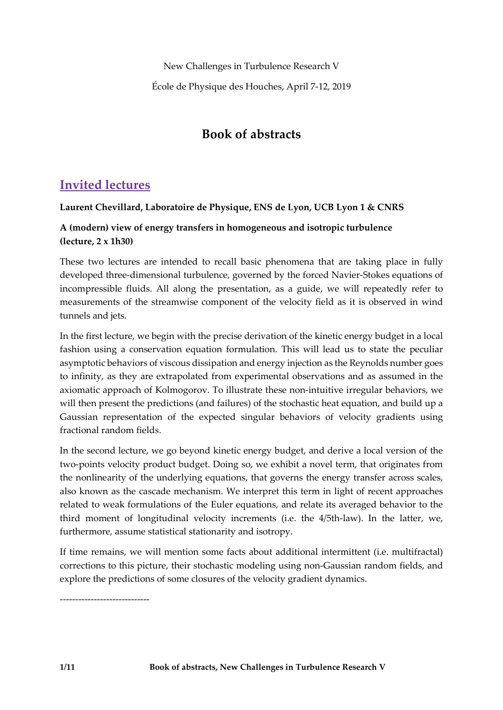New Challenges in Turbulence Research V

École de Physique des Houches, April 7-12, 2019

# **Book of abstracts**

# **Invited lectures**

# **Laurent Chevillard, Laboratoire de Physique, ENS de Lyon, UCB Lyon 1 & CNRS**

# **A (modern) view of energy transfers in homogeneous and isotropic turbulence (lecture, 2 x 1h30)**

These two lectures are intended to recall basic phenomena that are taking place in fully developed three-dimensional turbulence, governed by the forced Navier-Stokes equations of incompressible fluids. All along the presentation, as a guide, we will repeatedly refer to measurements of the streamwise component of the velocity field as it is observed in wind tunnels and jets.

In the first lecture, we begin with the precise derivation of the kinetic energy budget in a local fashion using a conservation equation formulation. This will lead us to state the peculiar asymptotic behaviors of viscous dissipation and energy injection as the Reynolds number goes to infinity, as they are extrapolated from experimental observations and as assumed in the axiomatic approach of Kolmogorov. To illustrate these non-intuitive irregular behaviors, we will then present the predictions (and failures) of the stochastic heat equation, and build up a Gaussian representation of the expected singular behaviors of velocity gradients using fractional random fields.

In the second lecture, we go beyond kinetic energy budget, and derive a local version of the two-points velocity product budget. Doing so, we exhibit a novel term, that originates from the nonlinearity of the underlying equations, that governs the energy transfer across scales, also known as the cascade mechanism. We interpret this term in light of recent approaches related to weak formulations of the Euler equations, and relate its averaged behavior to the third moment of longitudinal velocity increments (i.e. the 4/5th-law). In the latter, we, furthermore, assume statistical stationarity and isotropy.

If time remains, we will mention some facts about additional intermittent (i.e. multifractal) corrections to this picture, their stochastic modeling using non-Gaussian random fields, and explore the predictions of some closures of the velocity gradient dynamics.

-----------------------------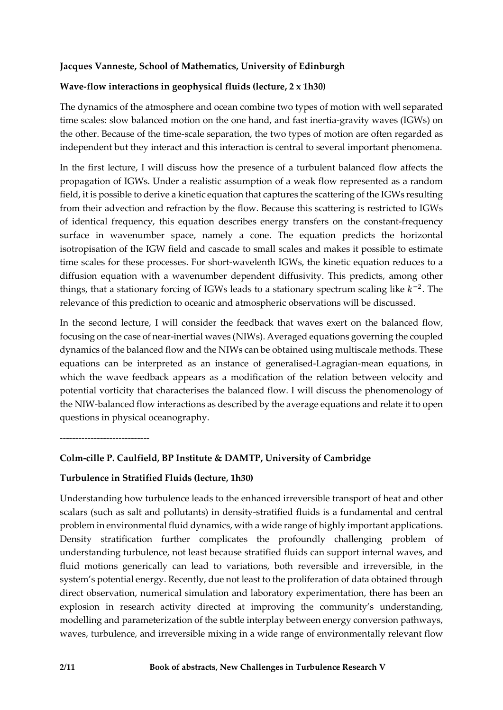### **Jacques Vanneste, School of Mathematics, University of Edinburgh**

#### **Wave-flow interactions in geophysical fluids (lecture, 2 x 1h30)**

The dynamics of the atmosphere and ocean combine two types of motion with well separated time scales: slow balanced motion on the one hand, and fast inertia-gravity waves (IGWs) on the other. Because of the time-scale separation, the two types of motion are often regarded as independent but they interact and this interaction is central to several important phenomena.

In the first lecture, I will discuss how the presence of a turbulent balanced flow affects the propagation of IGWs. Under a realistic assumption of a weak flow represented as a random field, it is possible to derive a kinetic equation that captures the scattering of the IGWs resulting from their advection and refraction by the flow. Because this scattering is restricted to IGWs of identical frequency, this equation describes energy transfers on the constant-frequency surface in wavenumber space, namely a cone. The equation predicts the horizontal isotropisation of the IGW field and cascade to small scales and makes it possible to estimate time scales for these processes. For short-wavelenth IGWs, the kinetic equation reduces to a diffusion equation with a wavenumber dependent diffusivity. This predicts, among other things, that a stationary forcing of IGWs leads to a stationary spectrum scaling like  $k^{-2}$ . The relevance of this prediction to oceanic and atmospheric observations will be discussed.

In the second lecture, I will consider the feedback that waves exert on the balanced flow, focusing on the case of near-inertial waves (NIWs). Averaged equations governing the coupled dynamics of the balanced flow and the NIWs can be obtained using multiscale methods. These equations can be interpreted as an instance of generalised-Lagragian-mean equations, in which the wave feedback appears as a modification of the relation between velocity and potential vorticity that characterises the balanced flow. I will discuss the phenomenology of the NIW-balanced flow interactions as described by the average equations and relate it to open questions in physical oceanography.

-----------------------------

# **Colm-cille P. Caulfield, BP Institute & DAMTP, University of Cambridge**

#### **Turbulence in Stratified Fluids (lecture, 1h30)**

Understanding how turbulence leads to the enhanced irreversible transport of heat and other scalars (such as salt and pollutants) in density-stratified fluids is a fundamental and central problem in environmental fluid dynamics, with a wide range of highly important applications. Density stratification further complicates the profoundly challenging problem of understanding turbulence, not least because stratified fluids can support internal waves, and fluid motions generically can lead to variations, both reversible and irreversible, in the system's potential energy. Recently, due not least to the proliferation of data obtained through direct observation, numerical simulation and laboratory experimentation, there has been an explosion in research activity directed at improving the community's understanding, modelling and parameterization of the subtle interplay between energy conversion pathways, waves, turbulence, and irreversible mixing in a wide range of environmentally relevant flow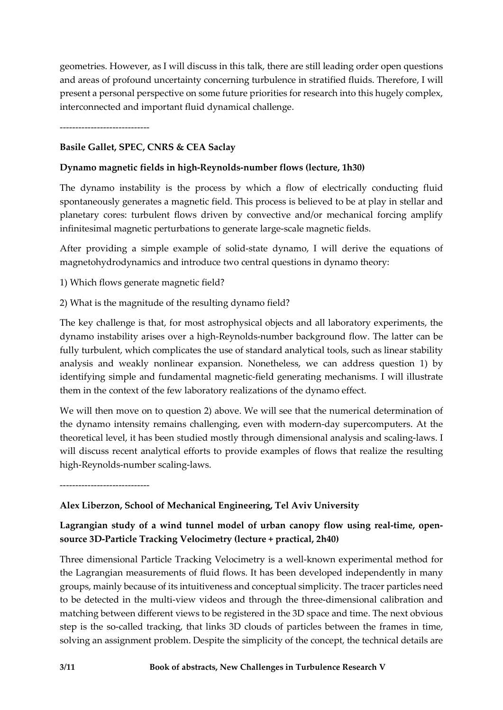geometries. However, as I will discuss in this talk, there are still leading order open questions and areas of profound uncertainty concerning turbulence in stratified fluids. Therefore, I will present a personal perspective on some future priorities for research into this hugely complex, interconnected and important fluid dynamical challenge.

-----------------------------

# **Basile Gallet, SPEC, CNRS & CEA Saclay**

# **Dynamo magnetic fields in high-Reynolds-number flows (lecture, 1h30)**

The dynamo instability is the process by which a flow of electrically conducting fluid spontaneously generates a magnetic field. This process is believed to be at play in stellar and planetary cores: turbulent flows driven by convective and/or mechanical forcing amplify infinitesimal magnetic perturbations to generate large-scale magnetic fields.

After providing a simple example of solid-state dynamo, I will derive the equations of magnetohydrodynamics and introduce two central questions in dynamo theory:

1) Which flows generate magnetic field?

2) What is the magnitude of the resulting dynamo field?

The key challenge is that, for most astrophysical objects and all laboratory experiments, the dynamo instability arises over a high-Reynolds-number background flow. The latter can be fully turbulent, which complicates the use of standard analytical tools, such as linear stability analysis and weakly nonlinear expansion. Nonetheless, we can address question 1) by identifying simple and fundamental magnetic-field generating mechanisms. I will illustrate them in the context of the few laboratory realizations of the dynamo effect.

We will then move on to question 2) above. We will see that the numerical determination of the dynamo intensity remains challenging, even with modern-day supercomputers. At the theoretical level, it has been studied mostly through dimensional analysis and scaling-laws. I will discuss recent analytical efforts to provide examples of flows that realize the resulting high-Reynolds-number scaling-laws.

-----------------------------

# **Alex Liberzon, School of Mechanical Engineering, Tel Aviv University**

# **Lagrangian study of a wind tunnel model of urban canopy flow using real-time, opensource 3D-Particle Tracking Velocimetry (lecture + practical, 2h40)**

Three dimensional Particle Tracking Velocimetry is a well-known experimental method for the Lagrangian measurements of fluid flows. It has been developed independently in many groups, mainly because of its intuitiveness and conceptual simplicity. The tracer particles need to be detected in the multi-view videos and through the three-dimensional calibration and matching between different views to be registered in the 3D space and time. The next obvious step is the so-called tracking, that links 3D clouds of particles between the frames in time, solving an assignment problem. Despite the simplicity of the concept, the technical details are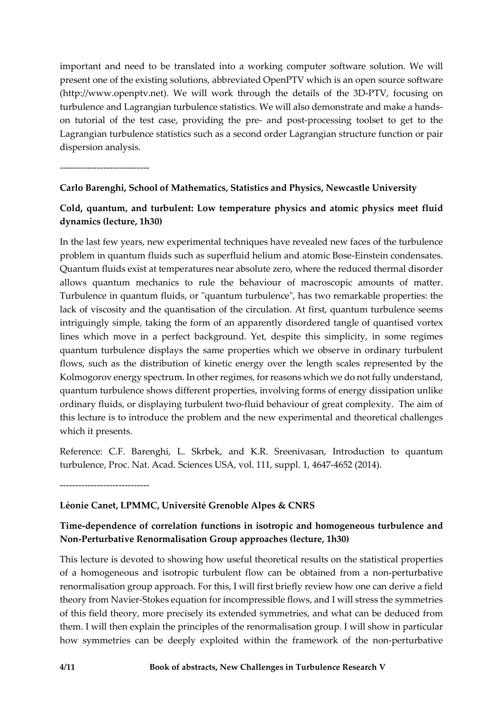important and need to be translated into a working computer software solution. We will present one of the existing solutions, abbreviated OpenPTV which is an open source software (http://www.openptv.net). We will work through the details of the 3D-PTV, focusing on turbulence and Lagrangian turbulence statistics. We will also demonstrate and make a handson tutorial of the test case, providing the pre- and post-processing toolset to get to the Lagrangian turbulence statistics such as a second order Lagrangian structure function or pair dispersion analysis.

-----------------------------

### **Carlo Barenghi, School of Mathematics, Statistics and Physics, Newcastle University**

# **Cold, quantum, and turbulent: Low temperature physics and atomic physics meet fluid dynamics (lecture, 1h30)**

In the last few years, new experimental techniques have revealed new faces of the turbulence problem in quantum fluids such as superfluid helium and atomic Bose-Einstein condensates. Quantum fluids exist at temperatures near absolute zero, where the reduced thermal disorder allows quantum mechanics to rule the behaviour of macroscopic amounts of matter. Turbulence in quantum fluids, or "quantum turbulence", has two remarkable properties: the lack of viscosity and the quantisation of the circulation. At first, quantum turbulence seems intriguingly simple, taking the form of an apparently disordered tangle of quantised vortex lines which move in a perfect background. Yet, despite this simplicity, in some regimes quantum turbulence displays the same properties which we observe in ordinary turbulent flows, such as the distribution of kinetic energy over the length scales represented by the Kolmogorov energy spectrum. In other regimes, for reasons which we do not fully understand, quantum turbulence shows different properties, involving forms of energy dissipation unlike ordinary fluids, or displaying turbulent two-fluid behaviour of great complexity. The aim of this lecture is to introduce the problem and the new experimental and theoretical challenges which it presents.

Reference: C.F. Barenghi, L. Skrbek, and K.R. Sreenivasan, Introduction to quantum turbulence, Proc. Nat. Acad. Sciences USA, vol. 111, suppl. 1, 4647-4652 (2014).

-----------------------------

# **Léonie Canet, LPMMC, Université Grenoble Alpes & CNRS**

# **Time-dependence of correlation functions in isotropic and homogeneous turbulence and Non-Perturbative Renormalisation Group approaches (lecture, 1h30)**

This lecture is devoted to showing how useful theoretical results on the statistical properties of a homogeneous and isotropic turbulent flow can be obtained from a non-perturbative renormalisation group approach. For this, I will first briefly review how one can derive a field theory from Navier-Stokes equation for incompressible flows, and I will stress the symmetries of this field theory, more precisely its extended symmetries, and what can be deduced from them. I will then explain the principles of the renormalisation group. I will show in particular how symmetries can be deeply exploited within the framework of the non-perturbative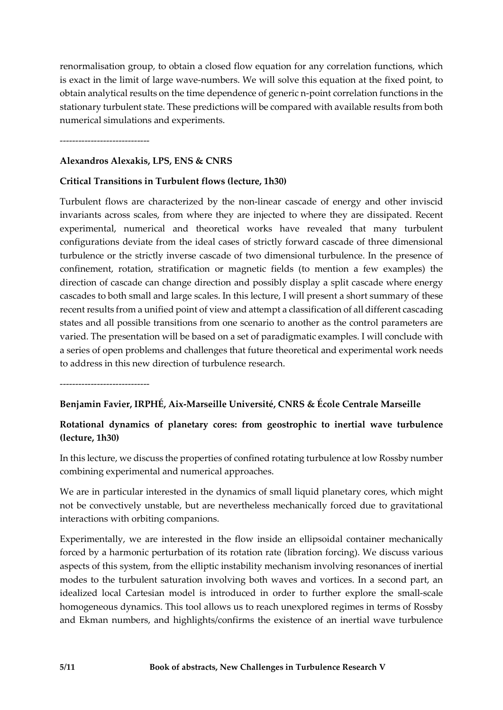renormalisation group, to obtain a closed flow equation for any correlation functions, which is exact in the limit of large wave-numbers. We will solve this equation at the fixed point, to obtain analytical results on the time dependence of generic n-point correlation functions in the stationary turbulent state. These predictions will be compared with available results from both numerical simulations and experiments.

-----------------------------

#### **Alexandros Alexakis, LPS, ENS & CNRS**

#### **Critical Transitions in Turbulent flows (lecture, 1h30)**

Turbulent flows are characterized by the non-linear cascade of energy and other inviscid invariants across scales, from where they are injected to where they are dissipated. Recent experimental, numerical and theoretical works have revealed that many turbulent configurations deviate from the ideal cases of strictly forward cascade of three dimensional turbulence or the strictly inverse cascade of two dimensional turbulence. In the presence of confinement, rotation, stratification or magnetic fields (to mention a few examples) the direction of cascade can change direction and possibly display a split cascade where energy cascades to both small and large scales. In this lecture, I will present a short summary of these recent results from a unified point of view and attempt a classification of all different cascading states and all possible transitions from one scenario to another as the control parameters are varied. The presentation will be based on a set of paradigmatic examples. I will conclude with a series of open problems and challenges that future theoretical and experimental work needs to address in this new direction of turbulence research.

-----------------------------

#### **Benjamin Favier, IRPHÉ, Aix-Marseille Université, CNRS & École Centrale Marseille**

# **Rotational dynamics of planetary cores: from geostrophic to inertial wave turbulence (lecture, 1h30)**

In this lecture, we discuss the properties of confined rotating turbulence at low Rossby number combining experimental and numerical approaches.

We are in particular interested in the dynamics of small liquid planetary cores, which might not be convectively unstable, but are nevertheless mechanically forced due to gravitational interactions with orbiting companions.

Experimentally, we are interested in the flow inside an ellipsoidal container mechanically forced by a harmonic perturbation of its rotation rate (libration forcing). We discuss various aspects of this system, from the elliptic instability mechanism involving resonances of inertial modes to the turbulent saturation involving both waves and vortices. In a second part, an idealized local Cartesian model is introduced in order to further explore the small-scale homogeneous dynamics. This tool allows us to reach unexplored regimes in terms of Rossby and Ekman numbers, and highlights/confirms the existence of an inertial wave turbulence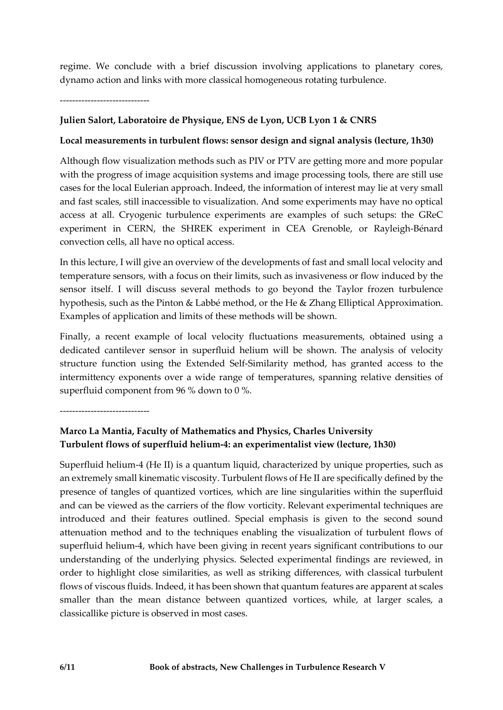regime. We conclude with a brief discussion involving applications to planetary cores, dynamo action and links with more classical homogeneous rotating turbulence.

-----------------------------

# **Julien Salort, Laboratoire de Physique, ENS de Lyon, UCB Lyon 1 & CNRS**

### **Local measurements in turbulent flows: sensor design and signal analysis (lecture, 1h30)**

Although flow visualization methods such as PIV or PTV are getting more and more popular with the progress of image acquisition systems and image processing tools, there are still use cases for the local Eulerian approach. Indeed, the information of interest may lie at very small and fast scales, still inaccessible to visualization. And some experiments may have no optical access at all. Cryogenic turbulence experiments are examples of such setups: the GReC experiment in CERN, the SHREK experiment in CEA Grenoble, or Rayleigh-Bénard convection cells, all have no optical access.

In this lecture, I will give an overview of the developments of fast and small local velocity and temperature sensors, with a focus on their limits, such as invasiveness or flow induced by the sensor itself. I will discuss several methods to go beyond the Taylor frozen turbulence hypothesis, such as the Pinton & Labbé method, or the He & Zhang Elliptical Approximation. Examples of application and limits of these methods will be shown.

Finally, a recent example of local velocity fluctuations measurements, obtained using a dedicated cantilever sensor in superfluid helium will be shown. The analysis of velocity structure function using the Extended Self-Similarity method, has granted access to the intermittency exponents over a wide range of temperatures, spanning relative densities of superfluid component from 96 % down to 0 %.

-----------------------------

# **Marco La Mantia, Faculty of Mathematics and Physics, Charles University Turbulent flows of superfluid helium-4: an experimentalist view (lecture, 1h30)**

Superfluid helium-4 (He II) is a quantum liquid, characterized by unique properties, such as an extremely small kinematic viscosity. Turbulent flows of He II are specifically defined by the presence of tangles of quantized vortices, which are line singularities within the superfluid and can be viewed as the carriers of the flow vorticity. Relevant experimental techniques are introduced and their features outlined. Special emphasis is given to the second sound attenuation method and to the techniques enabling the visualization of turbulent flows of superfluid helium-4, which have been giving in recent years significant contributions to our understanding of the underlying physics. Selected experimental findings are reviewed, in order to highlight close similarities, as well as striking differences, with classical turbulent flows of viscous fluids. Indeed, it has been shown that quantum features are apparent at scales smaller than the mean distance between quantized vortices, while, at larger scales, a classicallike picture is observed in most cases.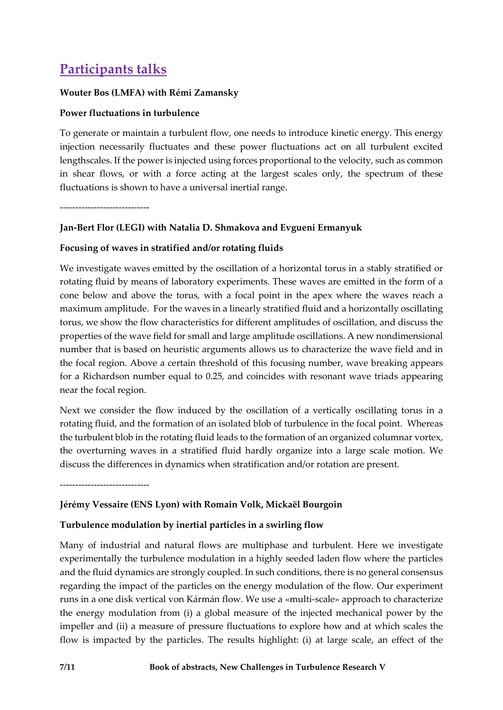# **Participants talks**

#### **Wouter Bos (LMFA) with Rémi Zamansky**

### **Power fluctuations in turbulence**

To generate or maintain a turbulent flow, one needs to introduce kinetic energy. This energy injection necessarily fluctuates and these power fluctuations act on all turbulent excited lengthscales. If the power is injected using forces proportional to the velocity, such as common in shear flows, or with a force acting at the largest scales only, the spectrum of these fluctuations is shown to have a universal inertial range.

-----------------------------

# **Jan-Bert Flor (LEGI) with Natalia D. Shmakova and Evgueni Ermanyuk**

### **Focusing of waves in stratified and/or rotating fluids**

We investigate waves emitted by the oscillation of a horizontal torus in a stably stratified or rotating fluid by means of laboratory experiments. These waves are emitted in the form of a cone below and above the torus, with a focal point in the apex where the waves reach a maximum amplitude. For the waves in a linearly stratified fluid and a horizontally oscillating torus, we show the flow characteristics for different amplitudes of oscillation, and discuss the properties of the wave field for small and large amplitude oscillations. A new nondimensional number that is based on heuristic arguments allows us to characterize the wave field and in the focal region. Above a certain threshold of this focusing number, wave breaking appears for a Richardson number equal to 0.25, and coincides with resonant wave triads appearing near the focal region.

Next we consider the flow induced by the oscillation of a vertically oscillating torus in a rotating fluid, and the formation of an isolated blob of turbulence in the focal point. Whereas the turbulent blob in the rotating fluid leads to the formation of an organized columnar vortex, the overturning waves in a stratified fluid hardly organize into a large scale motion. We discuss the differences in dynamics when stratification and/or rotation are present.

-----------------------------

#### **Jérémy Vessaire (ENS Lyon) with Romain Volk, Mickaël Bourgoin**

# **Turbulence modulation by inertial particles in a swirling flow**

Many of industrial and natural flows are multiphase and turbulent. Here we investigate experimentally the turbulence modulation in a highly seeded laden flow where the particles and the fluid dynamics are strongly coupled. In such conditions, there is no general consensus regarding the impact of the particles on the energy modulation of the flow. Our experiment runs in a one disk vertical von Kármán flow. We use a «multi-scale» approach to characterize the energy modulation from (i) a global measure of the injected mechanical power by the impeller and (ii) a measure of pressure fluctuations to explore how and at which scales the flow is impacted by the particles. The results highlight: (i) at large scale, an effect of the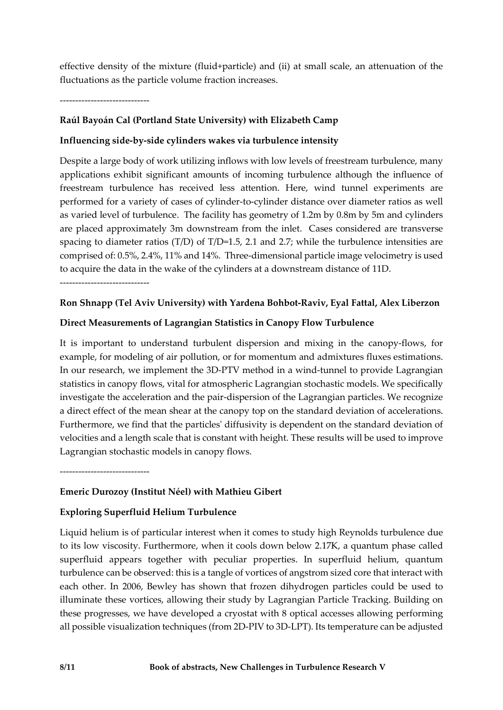effective density of the mixture (fluid+particle) and (ii) at small scale, an attenuation of the fluctuations as the particle volume fraction increases.

-----------------------------

# **Raúl Bayoán Cal (Portland State University) with Elizabeth Camp**

# **Influencing side-by-side cylinders wakes via turbulence intensity**

Despite a large body of work utilizing inflows with low levels of freestream turbulence, many applications exhibit significant amounts of incoming turbulence although the influence of freestream turbulence has received less attention. Here, wind tunnel experiments are performed for a variety of cases of cylinder-to-cylinder distance over diameter ratios as well as varied level of turbulence. The facility has geometry of 1.2m by 0.8m by 5m and cylinders are placed approximately 3m downstream from the inlet. Cases considered are transverse spacing to diameter ratios (T/D) of T/D=1.5, 2.1 and 2.7; while the turbulence intensities are comprised of: 0.5%, 2.4%, 11% and 14%. Three-dimensional particle image velocimetry is used to acquire the data in the wake of the cylinders at a downstream distance of 11D.

-----------------------------

### **Ron Shnapp (Tel Aviv University) with Yardena Bohbot-Raviv, Eyal Fattal, Alex Liberzon**

### **Direct Measurements of Lagrangian Statistics in Canopy Flow Turbulence**

It is important to understand turbulent dispersion and mixing in the canopy-flows, for example, for modeling of air pollution, or for momentum and admixtures fluxes estimations. In our research, we implement the 3D-PTV method in a wind-tunnel to provide Lagrangian statistics in canopy flows, vital for atmospheric Lagrangian stochastic models. We specifically investigate the acceleration and the pair-dispersion of the Lagrangian particles. We recognize a direct effect of the mean shear at the canopy top on the standard deviation of accelerations. Furthermore, we find that the particles' diffusivity is dependent on the standard deviation of velocities and a length scale that is constant with height. These results will be used to improve Lagrangian stochastic models in canopy flows.

-----------------------------

# **Emeric Durozoy (Institut Néel) with Mathieu Gibert**

# **Exploring Superfluid Helium Turbulence**

Liquid helium is of particular interest when it comes to study high Reynolds turbulence due to its low viscosity. Furthermore, when it cools down below 2.17K, a quantum phase called superfluid appears together with peculiar properties. In superfluid helium, quantum turbulence can be observed: this is a tangle of vortices of angstrom sized core that interact with each other. In 2006, Bewley has shown that frozen dihydrogen particles could be used to illuminate these vortices, allowing their study by Lagrangian Particle Tracking. Building on these progresses, we have developed a cryostat with 8 optical accesses allowing performing all possible visualization techniques (from 2D-PIV to 3D-LPT). Its temperature can be adjusted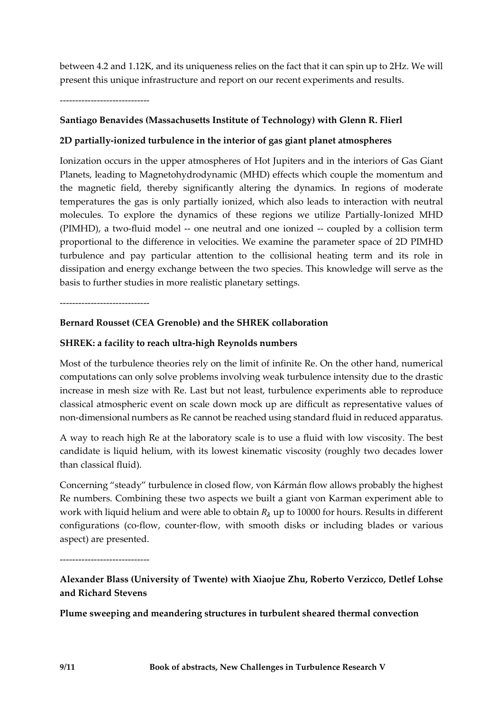between 4.2 and 1.12K, and its uniqueness relies on the fact that it can spin up to 2Hz. We will present this unique infrastructure and report on our recent experiments and results.

-----------------------------

# **Santiago Benavides (Massachusetts Institute of Technology) with Glenn R. Flierl**

### **2D partially-ionized turbulence in the interior of gas giant planet atmospheres**

Ionization occurs in the upper atmospheres of Hot Jupiters and in the interiors of Gas Giant Planets, leading to Magnetohydrodynamic (MHD) effects which couple the momentum and the magnetic field, thereby significantly altering the dynamics. In regions of moderate temperatures the gas is only partially ionized, which also leads to interaction with neutral molecules. To explore the dynamics of these regions we utilize Partially-Ionized MHD (PIMHD), a two-fluid model -- one neutral and one ionized -- coupled by a collision term proportional to the difference in velocities. We examine the parameter space of 2D PIMHD turbulence and pay particular attention to the collisional heating term and its role in dissipation and energy exchange between the two species. This knowledge will serve as the basis to further studies in more realistic planetary settings.

-----------------------------

### **Bernard Rousset (CEA Grenoble) and the SHREK collaboration**

### **SHREK: a facility to reach ultra-high Reynolds numbers**

Most of the turbulence theories rely on the limit of infinite Re. On the other hand, numerical computations can only solve problems involving weak turbulence intensity due to the drastic increase in mesh size with Re. Last but not least, turbulence experiments able to reproduce classical atmospheric event on scale down mock up are difficult as representative values of non-dimensional numbers as Re cannot be reached using standard fluid in reduced apparatus.

A way to reach high Re at the laboratory scale is to use a fluid with low viscosity. The best candidate is liquid helium, with its lowest kinematic viscosity (roughly two decades lower than classical fluid).

Concerning "steady" turbulence in closed flow, von Kármán flow allows probably the highest Re numbers. Combining these two aspects we built a giant von Karman experiment able to work with liquid helium and were able to obtain  $R_{\lambda}$  up to 10000 for hours. Results in different configurations (co-flow, counter-flow, with smooth disks or including blades or various aspect) are presented.

-----------------------------

**Alexander Blass (University of Twente) with Xiaojue Zhu, Roberto Verzicco, Detlef Lohse and Richard Stevens**

**Plume sweeping and meandering structures in turbulent sheared thermal convection**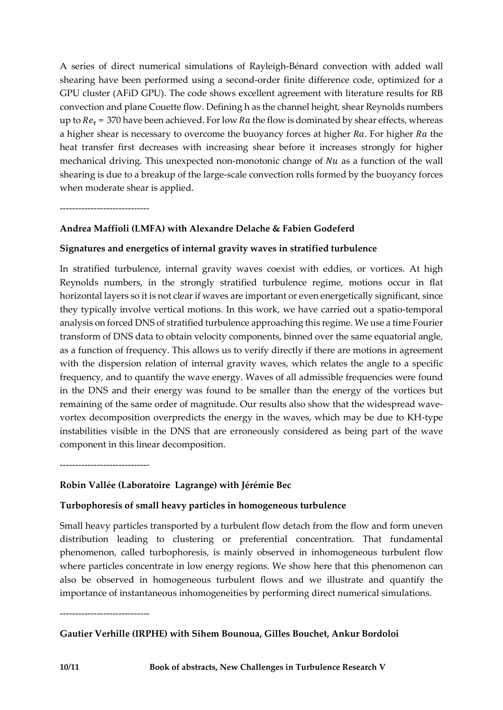A series of direct numerical simulations of Rayleigh-Bénard convection with added wall shearing have been performed using a second-order finite difference code, optimized for a GPU cluster (AFiD GPU). The code shows excellent agreement with literature results for RB convection and plane Couette flow. Defining h as the channel height, shear Reynolds numbers up to  $Re<sub>\tau</sub>$  = 370 have been achieved. For low Ra the flow is dominated by shear effects, whereas a higher shear is necessary to overcome the buoyancy forces at higher  $Ra$ . For higher  $Ra$  the heat transfer first decreases with increasing shear before it increases strongly for higher mechanical driving. This unexpected non-monotonic change of  $Nu$  as a function of the wall shearing is due to a breakup of the large-scale convection rolls formed by the buoyancy forces when moderate shear is applied.

-----------------------------

# **Andrea Maffioli (LMFA) with Alexandre Delache & Fabien Godeferd**

# **Signatures and energetics of internal gravity waves in stratified turbulence**

In stratified turbulence, internal gravity waves coexist with eddies, or vortices. At high Reynolds numbers, in the strongly stratified turbulence regime, motions occur in flat horizontal layers so it is not clear if waves are important or even energetically significant, since they typically involve vertical motions. In this work, we have carried out a spatio-temporal analysis on forced DNS of stratified turbulence approaching this regime. We use a time Fourier transform of DNS data to obtain velocity components, binned over the same equatorial angle, as a function of frequency. This allows us to verify directly if there are motions in agreement with the dispersion relation of internal gravity waves, which relates the angle to a specific frequency, and to quantify the wave energy. Waves of all admissible frequencies were found in the DNS and their energy was found to be smaller than the energy of the vortices but remaining of the same order of magnitude. Our results also show that the widespread wavevortex decomposition overpredicts the energy in the waves, which may be due to KH-type instabilities visible in the DNS that are erroneously considered as being part of the wave component in this linear decomposition.

-----------------------------

# **Robin Vallée (Laboratoire Lagrange) with Jérémie Bec**

#### **Turbophoresis of small heavy particles in homogeneous turbulence**

Small heavy particles transported by a turbulent flow detach from the flow and form uneven distribution leading to clustering or preferential concentration. That fundamental phenomenon, called turbophoresis, is mainly observed in inhomogeneous turbulent flow where particles concentrate in low energy regions. We show here that this phenomenon can also be observed in homogeneous turbulent flows and we illustrate and quantify the importance of instantaneous inhomogeneities by performing direct numerical simulations.

-----------------------------

# **Gautier Verhille (IRPHE) with Sihem Bounoua, Gilles Bouchet, Ankur Bordoloi**